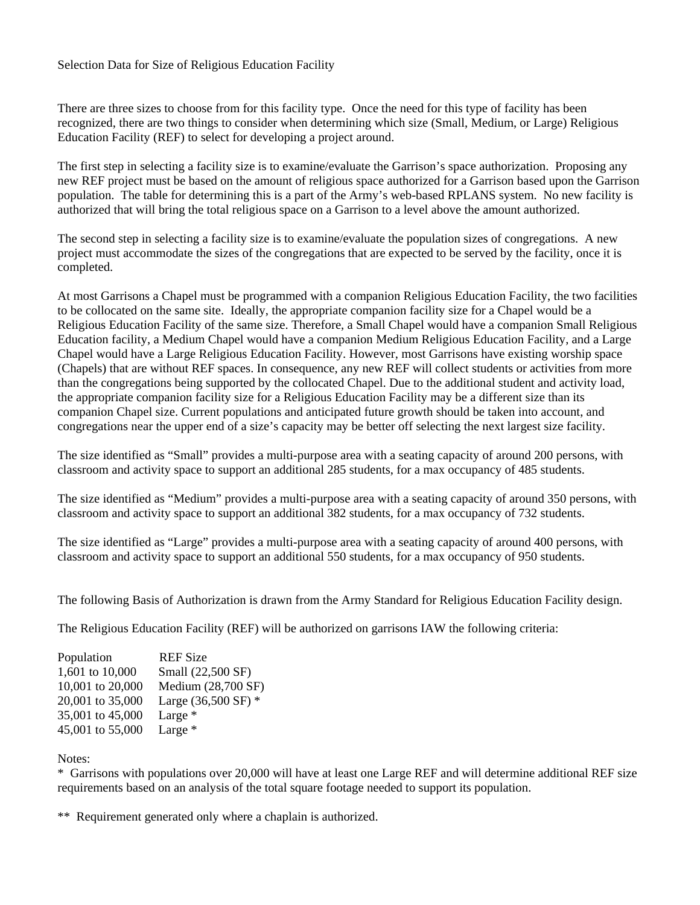## Selection Data for Size of Religious Education Facility

There are three sizes to choose from for this facility type. Once the need for this type of facility has been recognized, there are two things to consider when determining which size (Small, Medium, or Large) Religious Education Facility (REF) to select for developing a project around.

The first step in selecting a facility size is to examine/evaluate the Garrison's space authorization. Proposing any new REF project must be based on the amount of religious space authorized for a Garrison based upon the Garrison population. The table for determining this is a part of the Army's web-based RPLANS system. No new facility is authorized that will bring the total religious space on a Garrison to a level above the amount authorized.

The second step in selecting a facility size is to examine/evaluate the population sizes of congregations. A new project must accommodate the sizes of the congregations that are expected to be served by the facility, once it is completed.

At most Garrisons a Chapel must be programmed with a companion Religious Education Facility, the two facilities to be collocated on the same site. Ideally, the appropriate companion facility size for a Chapel would be a Religious Education Facility of the same size. Therefore, a Small Chapel would have a companion Small Religious Education facility, a Medium Chapel would have a companion Medium Religious Education Facility, and a Large Chapel would have a Large Religious Education Facility. However, most Garrisons have existing worship space (Chapels) that are without REF spaces. In consequence, any new REF will collect students or activities from more than the congregations being supported by the collocated Chapel. Due to the additional student and activity load, the appropriate companion facility size for a Religious Education Facility may be a different size than its companion Chapel size. Current populations and anticipated future growth should be taken into account, and congregations near the upper end of a size's capacity may be better off selecting the next largest size facility.

The size identified as "Small" provides a multi-purpose area with a seating capacity of around 200 persons, with classroom and activity space to support an additional 285 students, for a max occupancy of 485 students.

The size identified as "Medium" provides a multi-purpose area with a seating capacity of around 350 persons, with classroom and activity space to support an additional 382 students, for a max occupancy of 732 students.

The size identified as "Large" provides a multi-purpose area with a seating capacity of around 400 persons, with classroom and activity space to support an additional 550 students, for a max occupancy of 950 students.

The following Basis of Authorization is drawn from the Army Standard for Religious Education Facility design.

The Religious Education Facility (REF) will be authorized on garrisons IAW the following criteria:

| Population       | <b>REF Size</b>     |
|------------------|---------------------|
| 1,601 to 10,000  | Small (22,500 SF)   |
| 10,001 to 20,000 | Medium (28,700 SF)  |
| 20,001 to 35,000 | Large (36,500 SF) * |
| 35,001 to 45,000 | Large $*$           |
| 45,001 to 55,000 | Large $*$           |
|                  |                     |

## Notes:

\* Garrisons with populations over 20,000 will have at least one Large REF and will determine additional REF size requirements based on an analysis of the total square footage needed to support its population.

\*\* Requirement generated only where a chaplain is authorized.